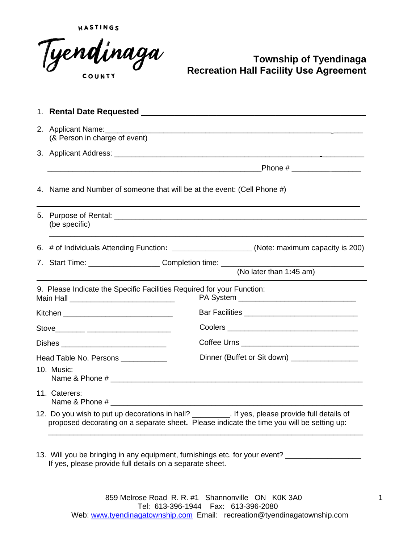HASTINGS



#### **Township of Tyendinaga Recreation Hall Facility Use Agreement**

| 2. Applicant Name:<br>(& Person in charge of event)                                                                   |                                                                                                                                                                                                                               |
|-----------------------------------------------------------------------------------------------------------------------|-------------------------------------------------------------------------------------------------------------------------------------------------------------------------------------------------------------------------------|
|                                                                                                                       |                                                                                                                                                                                                                               |
|                                                                                                                       |                                                                                                                                                                                                                               |
| 4. Name and Number of someone that will be at the event: (Cell Phone #)                                               |                                                                                                                                                                                                                               |
| (be specific)                                                                                                         |                                                                                                                                                                                                                               |
|                                                                                                                       | 6. # of Individuals Attending Function: ______________________(Note: maximum capacity is 200)                                                                                                                                 |
|                                                                                                                       | (No later than 1:45 am)                                                                                                                                                                                                       |
| 9. Please Indicate the Specific Facilities Required for your Function:<br>Main Hall _________________________________ |                                                                                                                                                                                                                               |
| Kitchen ___________________________________                                                                           |                                                                                                                                                                                                                               |
| Stove_______ _______________________                                                                                  |                                                                                                                                                                                                                               |
| Dishes ______________________________                                                                                 |                                                                                                                                                                                                                               |
| Head Table No. Persons ____________                                                                                   |                                                                                                                                                                                                                               |
| 10. Music:                                                                                                            |                                                                                                                                                                                                                               |
| 11. Caterers:                                                                                                         |                                                                                                                                                                                                                               |
|                                                                                                                       | 12. Do you wish to put up decorations in hall? _________. If yes, please provide full details of<br>proposed decorating on a separate sheet. Please indicate the time you will be setting up:                                 |
|                                                                                                                       | Name & Phone # 2008 and 2008 and 2008 and 2008 and 2008 and 2008 and 2008 and 2008 and 2008 and 2008 and 2008 and 2008 and 2008 and 2008 and 2008 and 2008 and 2008 and 2008 and 2008 and 2008 and 2008 and 2008 and 2008 and |

13. Will you be bringing in any equipment, furnishings etc. for your event? \_\_\_\_\_\_\_\_\_\_\_\_\_\_\_\_\_\_\_\_\_\_\_\_\_\_\_\_\_\_\_\_\_\_ If yes, please provide full details on a separate sheet.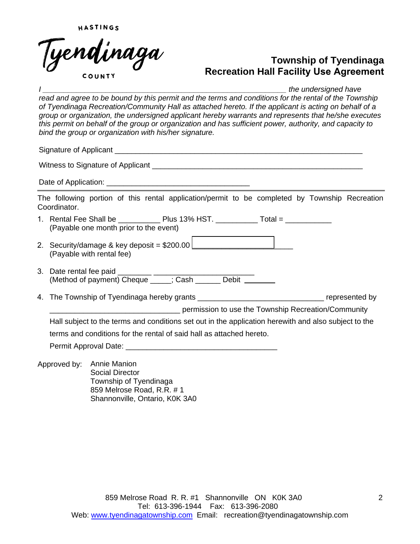

*Ihe undersigned have* read and agree to be bound by this permit and the terms and conditions for the rental of the Township *of Tyendinaga Recreation/Community Hall as attached hereto. If the applicant is acting on behalf of a group or organization, the undersigned applicant hereby warrants and represents that he/she executes this permit on behalf of the group or organization and has sufficient power, authority, and capacity to bind the group or organization with his/her signature.*  Signature of Applicant **Example 20** and  $\overline{a}$  and  $\overline{b}$  and  $\overline{c}$  and  $\overline{d}$  and  $\overline{c}$  and  $\overline{c}$  and  $\overline{c}$  and  $\overline{c}$  and  $\overline{c}$  and  $\overline{c}$  and  $\overline{c}$  and  $\overline{c}$  and  $\overline{c}$  and  $\overline{c}$  and Witness to Signature of Applicant **Example 20** Figures 1. The Signal State of Applicant Date of Application: The following portion of this rental application/permit to be completed by Township Recreation Coordinator. 1. Rental Fee Shall be  $\qquad \qquad$  Plus 13% HST.  $\qquad \qquad$  Total = (Payable one month prior to the event) 2. Security/damage & key deposit = \$200.00 \_\_\_\_\_\_\_\_\_\_\_\_\_\_\_\_\_\_\_\_\_\_\_\_ (Payable with rental fee) 3. Date rental fee paid \_\_\_\_\_\_\_\_ \_\_\_\_\_\_\_\_\_\_\_\_\_\_\_\_\_\_\_\_\_\_\_\_ (Method of payment) Cheque \_\_\_\_\_; Cash \_\_\_\_\_\_ Debit 4. The Township of Tyendinaga hereby grants the state of the state of the state of the represented by \_\_\_\_\_\_\_\_\_\_\_\_\_\_\_\_\_\_\_\_\_\_\_\_\_\_\_\_\_\_\_ permission to use the Township Recreation/Community Hall subject to the terms and conditions set out in the application herewith and also subject to the terms and conditions for the rental of said hall as attached hereto. Permit Approval Date: \_\_\_\_\_\_\_\_\_\_\_\_\_\_\_\_\_\_\_\_\_\_\_\_\_\_\_\_\_\_\_\_\_\_\_\_ Approved by: Annie Manion Social Director Township of Tyendinaga 859 Melrose Road, R.R. # 1 Shannonville, Ontario, K0K 3A0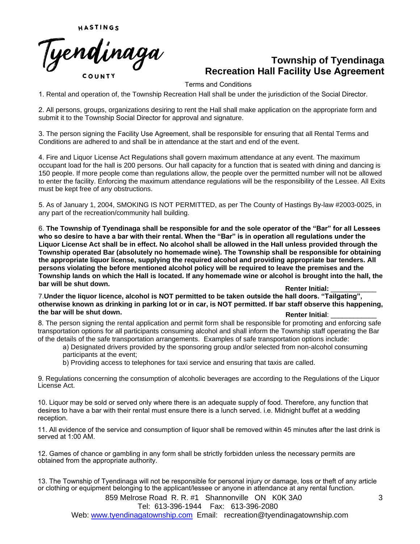

Terms and Conditions

1. Rental and operation of, the Township Recreation Hall shall be under the jurisdiction of the Social Director.

2. All persons, groups, organizations desiring to rent the Hall shall make application on the appropriate form and submit it to the Township Social Director for approval and signature.

3. The person signing the Facility Use Agreement, shall be responsible for ensuring that all Rental Terms and Conditions are adhered to and shall be in attendance at the start and end of the event.

4. Fire and Liquor License Act Regulations shall govern maximum attendance at any event. The maximum occupant load for the hall is 200 persons. Our hall capacity for a function that is seated with dining and dancing is 150 people. If more people come than regulations allow, the people over the permitted number will not be allowed to enter the facility. Enforcing the maximum attendance regulations will be the responsibility of the Lessee. All Exits must be kept free of any obstructions.

5. As of January 1, 2004, SMOKING IS NOT PERMITTED, as per The County of Hastings By-law #2003-0025, in any part of the recreation/community hall building.

6. **The Township of Tyendinaga shall be responsible for and the sole operator of the "Bar" for all Lessees who so desire to have a bar with their rental. When the "Bar" is in operation all regulations under the Liquor License Act shall be in effect. No alcohol shall be allowed in the Hall unless provided through the Township operated Bar (absolutely no homemade wine). The Township shall be responsible for obtaining the appropriate liquor license, supplying the required alcohol and providing appropriate bar tenders. All persons violating the before mentioned alcohol policy will be required to leave the premises and the Township lands on which the Hall is located. If any homemade wine or alcohol is brought into the hall, the bar will be shut down. Renter Initial: Renter Initial: Renter Initial: Renter Initial:** 

7.**Under the liquor licence, alcohol is NOT permitted to be taken outside the hall doors. "Tailgating", otherwise known as drinking in parking lot or in car, is NOT permitted. If bar staff observe this happening,** the bar will be shut down. **Renter Initial**:

8. The person signing the rental application and permit form shall be responsible for promoting and enforcing safe transportation options for all participants consuming alcohol and shall inform the Township staff operating the Bar of the details of the safe transportation arrangements. Examples of safe transportation options include:

a) Designated drivers provided by the sponsoring group and/or selected from non-alcohol consuming participants at the event;

b) Providing access to telephones for taxi service and ensuring that taxis are called.

9. Regulations concerning the consumption of alcoholic beverages are according to the Regulations of the Liquor License Act.

10. Liquor may be sold or served only where there is an adequate supply of food. Therefore, any function that desires to have a bar with their rental must ensure there is a lunch served. i.e. Midnight buffet at a wedding reception.

11. All evidence of the service and consumption of liquor shall be removed within 45 minutes after the last drink is served at 1:00 AM.

12. Games of chance or gambling in any form shall be strictly forbidden unless the necessary permits are obtained from the appropriate authority.

13. The Township of Tyendinaga will not be responsible for personal injury or damage, loss or theft of any article or clothing or equipment belonging to the applicant/lessee or anyone in attendance at any rental function.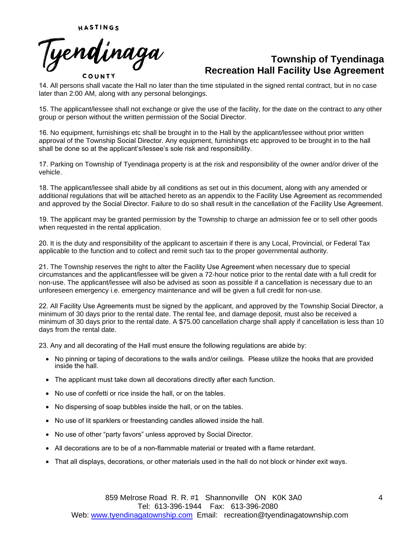Tyendinaga COUNTY

14. All persons shall vacate the Hall no later than the time stipulated in the signed rental contract, but in no case later than 2:00 AM, along with any personal belongings.

15. The applicant/lessee shall not exchange or give the use of the facility, for the date on the contract to any other group or person without the written permission of the Social Director.

16. No equipment, furnishings etc shall be brought in to the Hall by the applicant/lessee without prior written approval of the Township Social Director. Any equipment, furnishings etc approved to be brought in to the hall shall be done so at the applicant's/lessee's sole risk and responsibility.

17. Parking on Township of Tyendinaga property is at the risk and responsibility of the owner and/or driver of the vehicle.

18. The applicant/lessee shall abide by all conditions as set out in this document, along with any amended or additional regulations that will be attached hereto as an appendix to the Facility Use Agreement as recommended and approved by the Social Director. Failure to do so shall result in the cancellation of the Facility Use Agreement.

19. The applicant may be granted permission by the Township to charge an admission fee or to sell other goods when requested in the rental application.

20. It is the duty and responsibility of the applicant to ascertain if there is any Local, Provincial, or Federal Tax applicable to the function and to collect and remit such tax to the proper governmental authority.

21. The Township reserves the right to alter the Facility Use Agreement when necessary due to special circumstances and the applicant/lessee will be given a 72-hour notice prior to the rental date with a full credit for non-use. The applicant/lessee will also be advised as soon as possible if a cancellation is necessary due to an unforeseen emergency i.e. emergency maintenance and will be given a full credit for non-use.

22. All Facility Use Agreements must be signed by the applicant, and approved by the Township Social Director, a minimum of 30 days prior to the rental date. The rental fee, and damage deposit, must also be received a minimum of 30 days prior to the rental date. A \$75.00 cancellation charge shall apply if cancellation is less than 10 days from the rental date.

23. Any and all decorating of the Hall must ensure the following regulations are abide by:

- No pinning or taping of decorations to the walls and/or ceilings. Please utilize the hooks that are provided inside the hall.
- The applicant must take down all decorations directly after each function.
- No use of confetti or rice inside the hall, or on the tables.
- No dispersing of soap bubbles inside the hall, or on the tables.
- No use of lit sparklers or freestanding candles allowed inside the hall.
- No use of other "party favors" unless approved by Social Director.
- All decorations are to be of a non-flammable material or treated with a flame retardant.
- That all displays, decorations, or other materials used in the hall do not block or hinder exit ways.